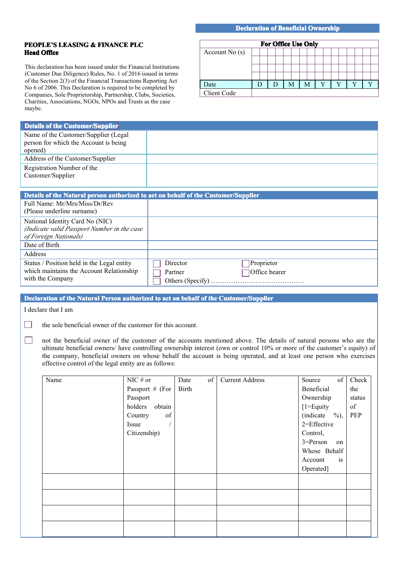## **PEOPLE'S LEASING LEASING LEASING& FINANCE FINANCE PLC Head Office**

This declaration has been issued under the Financial Institutions (Customer Due Diligence) Rules, No. 1 of 2016 issued in terms of the Section 2(3) of the Financial Transactions Reporting Act No 6 of 2006. This Declaration is required to be completed by Companies, Sole Proprietorship, Partnership, Clubs, Societies, Charities, Associations, NGOs, NPOs and Trusts as the case maybe.

## **Declaration of Beneficial Ownership**

|                 | <b>For Office Use Only</b> |  |  |  |
|-----------------|----------------------------|--|--|--|
| Account $No(s)$ |                            |  |  |  |
|                 |                            |  |  |  |
|                 |                            |  |  |  |
|                 |                            |  |  |  |
| Date            |                            |  |  |  |
| Client Code     |                            |  |  |  |

Account is Operated]

| <b>Details of the Customer/Supplier</b>                                                                                   |                                                                                                                          |              |    |                        |                          |            |                        |
|---------------------------------------------------------------------------------------------------------------------------|--------------------------------------------------------------------------------------------------------------------------|--------------|----|------------------------|--------------------------|------------|------------------------|
| Name of the Customer/Supplier (Legal                                                                                      |                                                                                                                          |              |    |                        |                          |            |                        |
| person for which the Account is being                                                                                     |                                                                                                                          |              |    |                        |                          |            |                        |
| opened)                                                                                                                   |                                                                                                                          |              |    |                        |                          |            |                        |
| Address of the Customer/Supplier                                                                                          |                                                                                                                          |              |    |                        |                          |            |                        |
| Registration Number of the                                                                                                |                                                                                                                          |              |    |                        |                          |            |                        |
| Customer/Supplier                                                                                                         |                                                                                                                          |              |    |                        |                          |            |                        |
|                                                                                                                           |                                                                                                                          |              |    |                        |                          |            |                        |
| Details of the Natural person authorized to act on behalf of the Customer/Supplier                                        |                                                                                                                          |              |    |                        |                          |            |                        |
| Full Name: Mr/Mrs/Miss/Dr/Rev                                                                                             |                                                                                                                          |              |    |                        |                          |            |                        |
| (Please underline surname)                                                                                                |                                                                                                                          |              |    |                        |                          |            |                        |
| National Identity Card No (NIC)                                                                                           |                                                                                                                          |              |    |                        |                          |            |                        |
| (Indicate valid Passport Number in the case                                                                               |                                                                                                                          |              |    |                        |                          |            |                        |
| of Foreign Nationals)                                                                                                     |                                                                                                                          |              |    |                        |                          |            |                        |
| Date of Birth                                                                                                             |                                                                                                                          |              |    |                        |                          |            |                        |
| Address                                                                                                                   |                                                                                                                          |              |    |                        |                          |            |                        |
| Status / Position held in the Legal entity                                                                                |                                                                                                                          | Director     |    | Proprietor             |                          |            |                        |
| which maintains the Account Relationship                                                                                  |                                                                                                                          | Partner      |    | Office bearer          |                          |            |                        |
| with the Company                                                                                                          |                                                                                                                          |              |    |                        |                          |            |                        |
|                                                                                                                           |                                                                                                                          |              |    |                        |                          |            |                        |
| Declaration of the Natural Person authorized to act on behalf of the Customer/Supplier                                    |                                                                                                                          |              |    |                        |                          |            |                        |
| I declare that I am                                                                                                       |                                                                                                                          |              |    |                        |                          |            |                        |
|                                                                                                                           |                                                                                                                          |              |    |                        |                          |            |                        |
|                                                                                                                           | the sole beneficial owner of the customer for this account.                                                              |              |    |                        |                          |            |                        |
|                                                                                                                           |                                                                                                                          |              |    |                        |                          |            |                        |
| ┓<br>not the beneficial owner of the customer of the accounts mentioned above. The details of natural persons who are the |                                                                                                                          |              |    |                        |                          |            |                        |
|                                                                                                                           |                                                                                                                          |              |    |                        |                          |            |                        |
|                                                                                                                           | ultimate beneficial owners/ have controlling ownership interest (own or control 10% or more of the customer's equity) of |              |    |                        |                          |            |                        |
|                                                                                                                           | the company, beneficial owners on whose behalf the account is being operated, and at least one person who exercises      |              |    |                        |                          |            |                        |
|                                                                                                                           | effective control of the legal entity are as follows:                                                                    |              |    |                        |                          |            |                        |
|                                                                                                                           |                                                                                                                          |              |    |                        |                          |            |                        |
| Name                                                                                                                      | $NIC \# or$                                                                                                              | Date         | of | <b>Current Address</b> | Source                   | $\alpha$ f |                        |
|                                                                                                                           | Passport $#$ (For                                                                                                        | <b>Birth</b> |    |                        | <b>Beneficial</b>        |            | the                    |
|                                                                                                                           | Passport                                                                                                                 |              |    |                        | Ownership                |            |                        |
|                                                                                                                           | holders<br>obtain                                                                                                        |              |    |                        | $[1=$ Equity             |            | of                     |
|                                                                                                                           | Country<br>of                                                                                                            |              |    |                        | $(indicate \t%),$        |            |                        |
|                                                                                                                           | Issue                                                                                                                    |              |    |                        | 2=Effective              |            |                        |
|                                                                                                                           |                                                                                                                          |              |    |                        |                          |            | Check<br>status<br>PEP |
|                                                                                                                           | Citizenship)                                                                                                             |              |    |                        | Control,<br>$3 = Person$ | on         |                        |